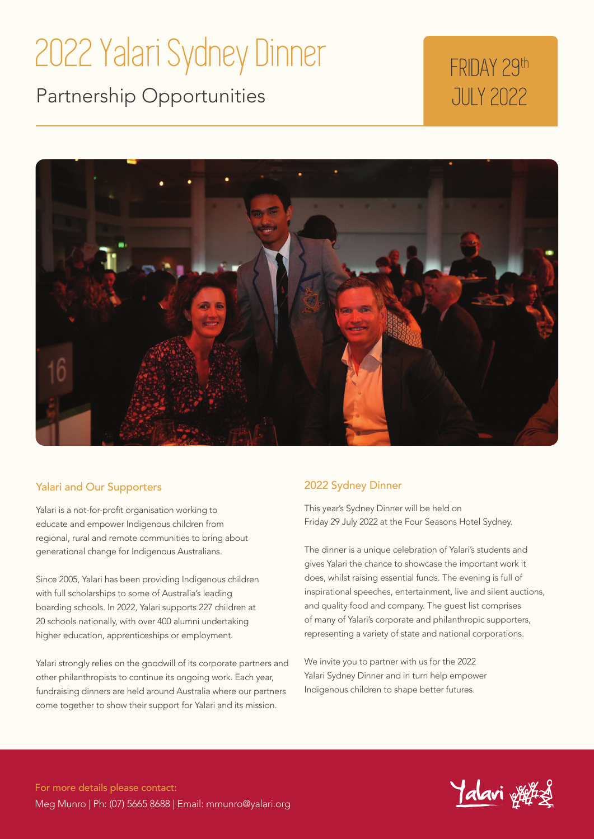## 2022 Yalari Sydney Dinner

Partnership Opportunities

## FRIDAY 29th JULY 2022



#### Yalari and Our Supporters

Yalari is a not-for-profit organisation working to educate and empower Indigenous children from regional, rural and remote communities to bring about generational change for Indigenous Australians.

Since 2005, Yalari has been providing Indigenous children with full scholarships to some of Australia's leading boarding schools. In 2022, Yalari supports 227 children at 20 schools nationally, with over 400 alumni undertaking higher education, apprenticeships or employment.

Yalari strongly relies on the goodwill of its corporate partners and other philanthropists to continue its ongoing work. Each year, fundraising dinners are held around Australia where our partners come together to show their support for Yalari and its mission.

#### 2022 Sydney Dinner

This year's Sydney Dinner will be held on Friday 29 July 2022 at the Four Seasons Hotel Sydney.

The dinner is a unique celebration of Yalari's students and gives Yalari the chance to showcase the important work it does, whilst raising essential funds. The evening is full of inspirational speeches, entertainment, live and silent auctions, and quality food and company. The guest list comprises of many of Yalari's corporate and philanthropic supporters, representing a variety of state and national corporations.

We invite you to partner with us for the 2022 Yalari Sydney Dinner and in turn help empower Indigenous children to shape better futures.